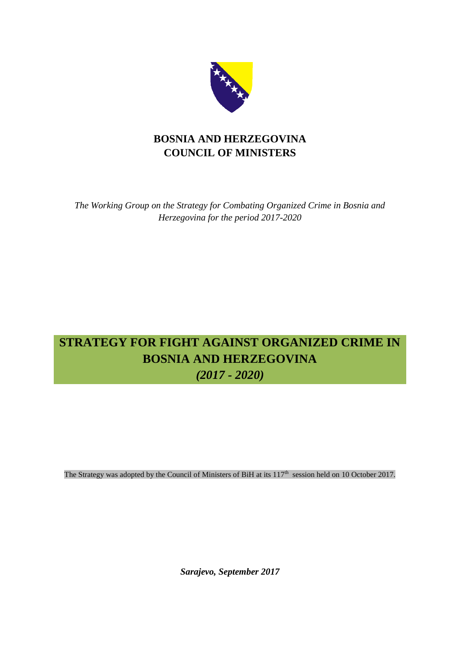

## **BOSNIA AND HERZEGOVINA COUNCIL OF MINISTERS**

*The Working Group on the Strategy for Combating Organized Crime in Bosnia and Herzegovina for the period 2017-2020*

# **STRATEGY FOR FIGHT AGAINST ORGANIZED CRIME IN BOSNIA AND HERZEGOVINA** *(2017 - 2020)*

The Strategy was adopted by the Council of Ministers of BiH at its  $117<sup>th</sup>$  session held on 10 October 2017.

*Sarajevo, September 2017*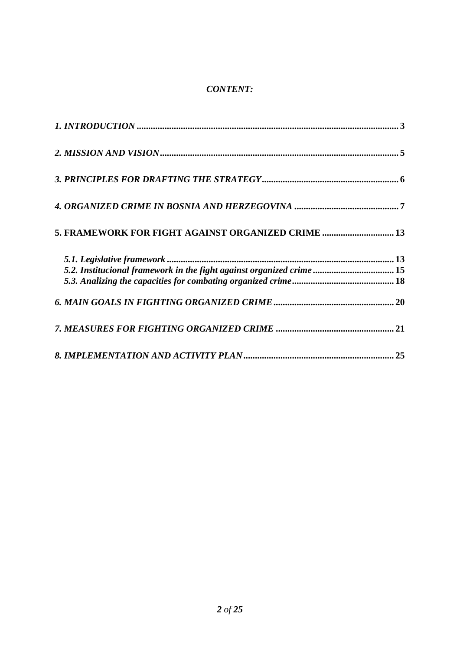## *CONTENT:*

| 5. FRAMEWORK FOR FIGHT AGAINST ORGANIZED CRIME  13                    |  |
|-----------------------------------------------------------------------|--|
|                                                                       |  |
|                                                                       |  |
| 5.2. Institucional framework in the fight against organized crime  15 |  |
|                                                                       |  |
|                                                                       |  |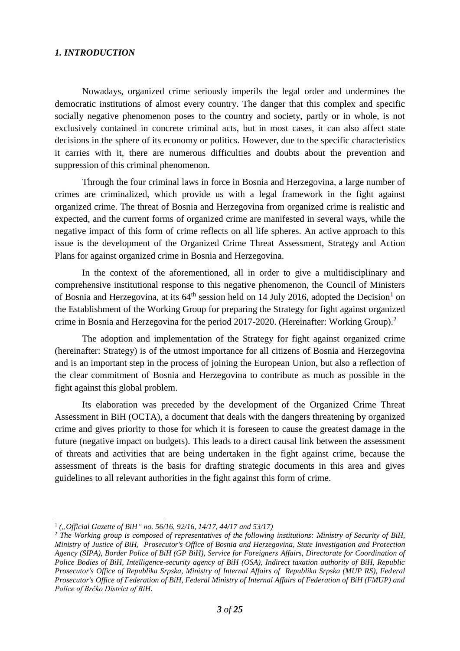## <span id="page-2-0"></span>*1. INTRODUCTION*

Nowadays, organized crime seriously imperils the legal order and undermines the democratic institutions of almost every country. The danger that this complex and specific socially negative phenomenon poses to the country and society, partly or in whole, is not exclusively contained in concrete criminal acts, but in most cases, it can also affect state decisions in the sphere of its economy or politics. However, due to the specific characteristics it carries with it, there are numerous difficulties and doubts about the prevention and suppression of this criminal phenomenon.

Through the four criminal laws in force in Bosnia and Herzegovina, a large number of crimes are criminalized, which provide us with a legal framework in the fight against organized crime. The threat of Bosnia and Herzegovina from organized crime is realistic and expected, and the current forms of organized crime are manifested in several ways, while the negative impact of this form of crime reflects on all life spheres. An active approach to this issue is the development of the Organized Crime Threat Assessment, Strategy and Action Plans for against organized crime in Bosnia and Herzegovina.

In the context of the aforementioned, all in order to give a multidisciplinary and comprehensive institutional response to this negative phenomenon, the Council of Ministers of Bosnia and Herzegovina, at its  $64^{\text{th}}$  session held on 14 July 2016, adopted the Decision<sup>1</sup> on the Establishment of the Working Group for preparing the Strategy for fight against organized crime in Bosnia and Herzegovina for the period 2017-2020. (Hereinafter: Working Group).<sup>2</sup>

The adoption and implementation of the Strategy for fight against organized crime (hereinafter: Strategy) is of the utmost importance for all citizens of Bosnia and Herzegovina and is an important step in the process of joining the European Union, but also a reflection of the clear commitment of Bosnia and Herzegovina to contribute as much as possible in the fight against this global problem.

Its elaboration was preceded by the development of the Organized Crime Threat Assessment in BiH (OCTA), a document that deals with the dangers threatening by organized crime and gives priority to those for which it is foreseen to cause the greatest damage in the future (negative impact on budgets). This leads to a direct causal link between the assessment of threats and activities that are being undertaken in the fight against crime, because the assessment of threats is the basis for drafting strategic documents in this area and gives guidelines to all relevant authorities in the fight against this form of crime.

 $\overline{a}$ 1 *("Official Gazette of BiH" no. 56/16, 92/16, 14/17, 44/17 and 53/17)*

<sup>2</sup> *The Working group is composed of representatives of the following institutions: Ministry of Security of BiH, Ministry of Justice of BiH, Prosecutor's Office of Bosnia and Herzegovina, State Investigation and Protection Agency (SIPA), Border Police of BiH (GP BiH), Service for Foreigners Affairs, Directorate for Coordination of Police Bodies of BiH, Intelligence-security agency of BiH (OSA), Indirect taxation authority of BiH, Republic Prosecutor's Office of Republika Srpska, Ministry of Internal Affairs of Republika Srpska (MUP RS), Federal Prosecutor's Office of Federation of BiH, Federal Ministry of Internal Affairs of Federation of BiH (FMUP) and Police of Brčko District of BiH.*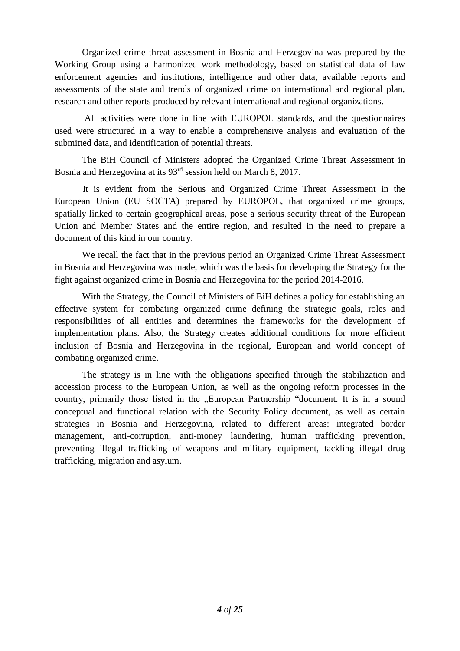Organized crime threat assessment in Bosnia and Herzegovina was prepared by the Working Group using a harmonized work methodology, based on statistical data of law enforcement agencies and institutions, intelligence and other data, available reports and assessments of the state and trends of organized crime on international and regional plan, research and other reports produced by relevant international and regional organizations.

All activities were done in line with EUROPOL standards, and the questionnaires used were structured in a way to enable a comprehensive analysis and evaluation of the submitted data, and identification of potential threats.

The BiH Council of Ministers adopted the Organized Crime Threat Assessment in Bosnia and Herzegovina at its 93rd session held on March 8, 2017.

It is evident from the Serious and Organized Crime Threat Assessment in the European Union (EU SOCTA) prepared by EUROPOL, that organized crime groups, spatially linked to certain geographical areas, pose a serious security threat of the European Union and Member States and the entire region, and resulted in the need to prepare a document of this kind in our country.

We recall the fact that in the previous period an Organized Crime Threat Assessment in Bosnia and Herzegovina was made, which was the basis for developing the Strategy for the fight against organized crime in Bosnia and Herzegovina for the period 2014-2016.

With the Strategy, the Council of Ministers of BiH defines a policy for establishing an effective system for combating organized crime defining the strategic goals, roles and responsibilities of all entities and determines the frameworks for the development of implementation plans. Also, the Strategy creates additional conditions for more efficient inclusion of Bosnia and Herzegovina in the regional, European and world concept of combating organized crime.

The strategy is in line with the obligations specified through the stabilization and accession process to the European Union, as well as the ongoing reform processes in the country, primarily those listed in the "European Partnership "document. It is in a sound conceptual and functional relation with the Security Policy document, as well as certain strategies in Bosnia and Herzegovina, related to different areas: integrated border management, anti-corruption, anti-money laundering, human trafficking prevention, preventing illegal trafficking of weapons and military equipment, tackling illegal drug trafficking, migration and asylum.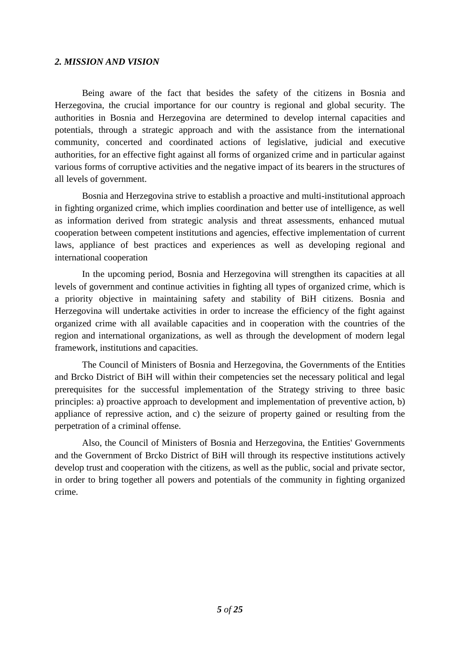#### <span id="page-4-0"></span>*2. MISSION AND VISION*

Being aware of the fact that besides the safety of the citizens in Bosnia and Herzegovina, the crucial importance for our country is regional and global security. The authorities in Bosnia and Herzegovina are determined to develop internal capacities and potentials, through a strategic approach and with the assistance from the international community, concerted and coordinated actions of legislative, judicial and executive authorities, for an effective fight against all forms of organized crime and in particular against various forms of corruptive activities and the negative impact of its bearers in the structures of all levels of government.

Bosnia and Herzegovina strive to establish a proactive and multi-institutional approach in fighting organized crime, which implies coordination and better use of intelligence, as well as information derived from strategic analysis and threat assessments, enhanced mutual cooperation between competent institutions and agencies, effective implementation of current laws, appliance of best practices and experiences as well as developing regional and international cooperation

In the upcoming period, Bosnia and Herzegovina will strengthen its capacities at all levels of government and continue activities in fighting all types of organized crime, which is a priority objective in maintaining safety and stability of BiH citizens. Bosnia and Herzegovina will undertake activities in order to increase the efficiency of the fight against organized crime with all available capacities and in cooperation with the countries of the region and international organizations, as well as through the development of modern legal framework, institutions and capacities.

The Council of Ministers of Bosnia and Herzegovina, the Governments of the Entities and Brcko District of BiH will within their competencies set the necessary political and legal prerequisites for the successful implementation of the Strategy striving to three basic principles: a) proactive approach to development and implementation of preventive action, b) appliance of repressive action, and c) the seizure of property gained or resulting from the perpetration of a criminal offense.

Also, the Council of Ministers of Bosnia and Herzegovina, the Entities' Governments and the Government of Brcko District of BiH will through its respective institutions actively develop trust and cooperation with the citizens, as well as the public, social and private sector, in order to bring together all powers and potentials of the community in fighting organized crime.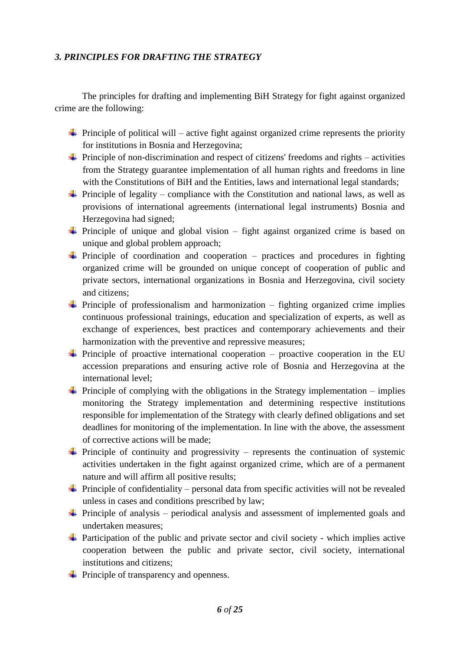## <span id="page-5-0"></span>*3. PRINCIPLES FOR DRAFTING THE STRATEGY*

The principles for drafting and implementing BiH Strategy for fight against organized crime are the following:

- $\overline{\phantom{a} \overline{\phantom{a}}}$  Principle of political will active fight against organized crime represents the priority for institutions in Bosnia and Herzegovina;
- $\triangleq$  Principle of non-discrimination and respect of citizens' freedoms and rights activities from the Strategy guarantee implementation of all human rights and freedoms in line with the Constitutions of BiH and the Entities, laws and international legal standards;
- $\overline{\phantom{a}}$  Principle of legality compliance with the Constitution and national laws, as well as provisions of international agreements (international legal instruments) Bosnia and Herzegovina had signed;
- $\overline{\phantom{a}}$  Principle of unique and global vision fight against organized crime is based on unique and global problem approach;
- $\overline{\phantom{a}}$  Principle of coordination and cooperation practices and procedures in fighting organized crime will be grounded on unique concept of cooperation of public and private sectors, international organizations in Bosnia and Herzegovina, civil society and citizens;
- $\overline{\phantom{a} \bullet}$  Principle of professionalism and harmonization fighting organized crime implies continuous professional trainings, education and specialization of experts, as well as exchange of experiences, best practices and contemporary achievements and their harmonization with the preventive and repressive measures;
- $\overline{\phantom{a}}$  Principle of proactive international cooperation proactive cooperation in the EU accession preparations and ensuring active role of Bosnia and Herzegovina at the international level;
- $\overline{\phantom{a}}$  Principle of complying with the obligations in the Strategy implementation implies monitoring the Strategy implementation and determining respective institutions responsible for implementation of the Strategy with clearly defined obligations and set deadlines for monitoring of the implementation. In line with the above, the assessment of corrective actions will be made;
- $\overline{\text{F}}$  Principle of continuity and progressivity represents the continuation of systemic activities undertaken in the fight against organized crime, which are of a permanent nature and will affirm all positive results;
- $\overline{\text{I}}$  Principle of confidentiality personal data from specific activities will not be revealed unless in cases and conditions prescribed by law;
- $\overline{\text{F}}$  Principle of analysis periodical analysis and assessment of implemented goals and undertaken measures;
- $\overline{\text{L}}$  Participation of the public and private sector and civil society which implies active cooperation between the public and private sector, civil society, international institutions and citizens;
- $\downarrow$  Principle of transparency and openness.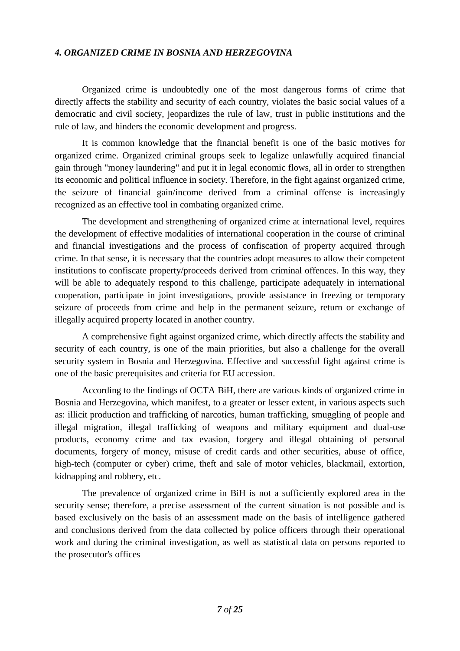## <span id="page-6-0"></span>*4. ORGANIZED CRIME IN BOSNIA AND HERZEGOVINA*

Organized crime is undoubtedly one of the most dangerous forms of crime that directly affects the stability and security of each country, violates the basic social values of a democratic and civil society, jeopardizes the rule of law, trust in public institutions and the rule of law, and hinders the economic development and progress.

It is common knowledge that the financial benefit is one of the basic motives for organized crime. Organized criminal groups seek to legalize unlawfully acquired financial gain through "money laundering" and put it in legal economic flows, all in order to strengthen its economic and political influence in society. Therefore, in the fight against organized crime, the seizure of financial gain/income derived from a criminal offense is increasingly recognized as an effective tool in combating organized crime.

The development and strengthening of organized crime at international level, requires the development of effective modalities of international cooperation in the course of criminal and financial investigations and the process of confiscation of property acquired through crime. In that sense, it is necessary that the countries adopt measures to allow their competent institutions to confiscate property/proceeds derived from criminal offences. In this way, they will be able to adequately respond to this challenge, participate adequately in international cooperation, participate in joint investigations, provide assistance in freezing or temporary seizure of proceeds from crime and help in the permanent seizure, return or exchange of illegally acquired property located in another country.

A comprehensive fight against organized crime, which directly affects the stability and security of each country, is one of the main priorities, but also a challenge for the overall security system in Bosnia and Herzegovina. Effective and successful fight against crime is one of the basic prerequisites and criteria for EU accession.

According to the findings of OCTA BiH, there are various kinds of organized crime in Bosnia and Herzegovina, which manifest, to a greater or lesser extent, in various aspects such as: illicit production and trafficking of narcotics, human trafficking, smuggling of people and illegal migration, illegal trafficking of weapons and military equipment and dual-use products, economy crime and tax evasion, forgery and illegal obtaining of personal documents, forgery of money, misuse of credit cards and other securities, abuse of office, high-tech (computer or cyber) crime, theft and sale of motor vehicles, blackmail, extortion, kidnapping and robbery, etc.

The prevalence of organized crime in BiH is not a sufficiently explored area in the security sense; therefore, a precise assessment of the current situation is not possible and is based exclusively on the basis of an assessment made on the basis of intelligence gathered and conclusions derived from the data collected by police officers through their operational work and during the criminal investigation, as well as statistical data on persons reported to the prosecutor's offices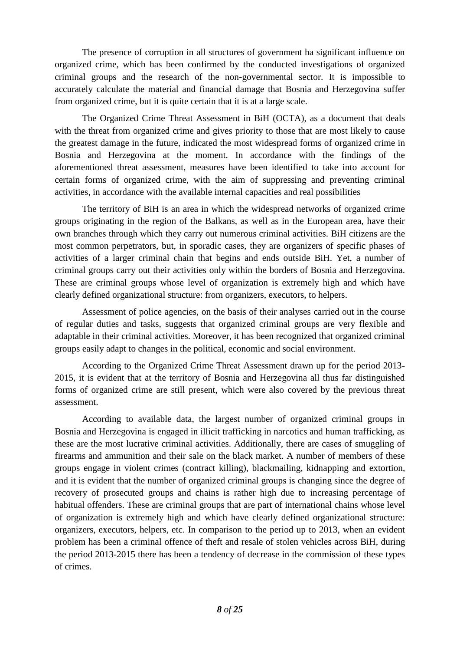The presence of corruption in all structures of government ha significant influence on organized crime, which has been confirmed by the conducted investigations of organized criminal groups and the research of the non-governmental sector. It is impossible to accurately calculate the material and financial damage that Bosnia and Herzegovina suffer from organized crime, but it is quite certain that it is at a large scale.

The Organized Crime Threat Assessment in BiH (OCTA), as a document that deals with the threat from organized crime and gives priority to those that are most likely to cause the greatest damage in the future, indicated the most widespread forms of organized crime in Bosnia and Herzegovina at the moment. In accordance with the findings of the aforementioned threat assessment, measures have been identified to take into account for certain forms of organized crime, with the aim of suppressing and preventing criminal activities, in accordance with the available internal capacities and real possibilities

The territory of BiH is an area in which the widespread networks of organized crime groups originating in the region of the Balkans, as well as in the European area, have their own branches through which they carry out numerous criminal activities. BiH citizens are the most common perpetrators, but, in sporadic cases, they are organizers of specific phases of activities of a larger criminal chain that begins and ends outside BiH. Yet, a number of criminal groups carry out their activities only within the borders of Bosnia and Herzegovina. These are criminal groups whose level of organization is extremely high and which have clearly defined organizational structure: from organizers, executors, to helpers.

Assessment of police agencies, on the basis of their analyses carried out in the course of regular duties and tasks, suggests that organized criminal groups are very flexible and adaptable in their criminal activities. Moreover, it has been recognized that organized criminal groups easily adapt to changes in the political, economic and social environment.

According to the Organized Crime Threat Assessment drawn up for the period 2013- 2015, it is evident that at the territory of Bosnia and Herzegovina all thus far distinguished forms of organized crime are still present, which were also covered by the previous threat assessment.

According to available data, the largest number of organized criminal groups in Bosnia and Herzegovina is engaged in illicit trafficking in narcotics and human trafficking, as these are the most lucrative criminal activities. Additionally, there are cases of smuggling of firearms and ammunition and their sale on the black market. A number of members of these groups engage in violent crimes (contract killing), blackmailing, kidnapping and extortion, and it is evident that the number of organized criminal groups is changing since the degree of recovery of prosecuted groups and chains is rather high due to increasing percentage of habitual offenders. These are criminal groups that are part of international chains whose level of organization is extremely high and which have clearly defined organizational structure: organizers, executors, helpers, etc. In comparison to the period up to 2013, when an evident problem has been a criminal offence of theft and resale of stolen vehicles across BiH, during the period 2013-2015 there has been a tendency of decrease in the commission of these types of crimes.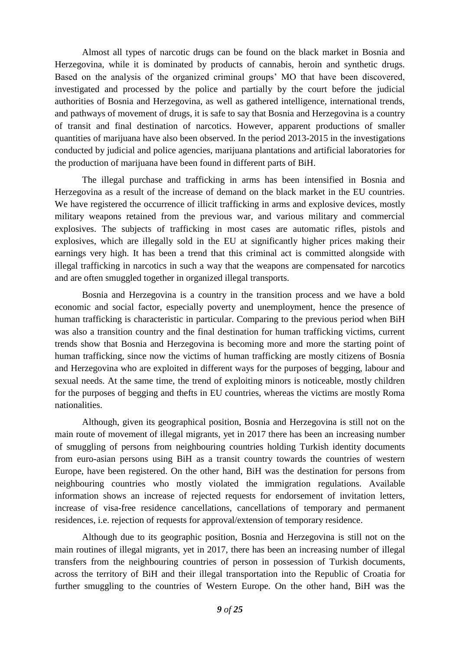Almost all types of narcotic drugs can be found on the black market in Bosnia and Herzegovina, while it is dominated by products of cannabis, heroin and synthetic drugs. Based on the analysis of the organized criminal groups' MO that have been discovered, investigated and processed by the police and partially by the court before the judicial authorities of Bosnia and Herzegovina, as well as gathered intelligence, international trends, and pathways of movement of drugs, it is safe to say that Bosnia and Herzegovina is a country of transit and final destination of narcotics. However, apparent productions of smaller quantities of marijuana have also been observed. In the period 2013-2015 in the investigations conducted by judicial and police agencies, marijuana plantations and artificial laboratories for the production of marijuana have been found in different parts of BiH.

The illegal purchase and trafficking in arms has been intensified in Bosnia and Herzegovina as a result of the increase of demand on the black market in the EU countries. We have registered the occurrence of illicit trafficking in arms and explosive devices, mostly military weapons retained from the previous war, and various military and commercial explosives. The subjects of trafficking in most cases are automatic rifles, pistols and explosives, which are illegally sold in the EU at significantly higher prices making their earnings very high. It has been a trend that this criminal act is committed alongside with illegal trafficking in narcotics in such a way that the weapons are compensated for narcotics and are often smuggled together in organized illegal transports.

Bosnia and Herzegovina is a country in the transition process and we have a bold economic and social factor, especially poverty and unemployment, hence the presence of human trafficking is characteristic in particular. Comparing to the previous period when BiH was also a transition country and the final destination for human trafficking victims, current trends show that Bosnia and Herzegovina is becoming more and more the starting point of human trafficking, since now the victims of human trafficking are mostly citizens of Bosnia and Herzegovina who are exploited in different ways for the purposes of begging, labour and sexual needs. At the same time, the trend of exploiting minors is noticeable, mostly children for the purposes of begging and thefts in EU countries, whereas the victims are mostly Roma nationalities.

Although, given its geographical position, Bosnia and Herzegovina is still not on the main route of movement of illegal migrants, yet in 2017 there has been an increasing number of smuggling of persons from neighbouring countries holding Turkish identity documents from euro-asian persons using BiH as a transit country towards the countries of western Europe, have been registered. On the other hand, BiH was the destination for persons from neighbouring countries who mostly violated the immigration regulations. Available information shows an increase of rejected requests for endorsement of invitation letters, increase of visa-free residence cancellations, cancellations of temporary and permanent residences, i.e. rejection of requests for approval/extension of temporary residence.

Although due to its geographic position, Bosnia and Herzegovina is still not on the main routines of illegal migrants, yet in 2017, there has been an increasing number of illegal transfers from the neighbouring countries of person in possession of Turkish documents, across the territory of BiH and their illegal transportation into the Republic of Croatia for further smuggling to the countries of Western Europe. On the other hand, BiH was the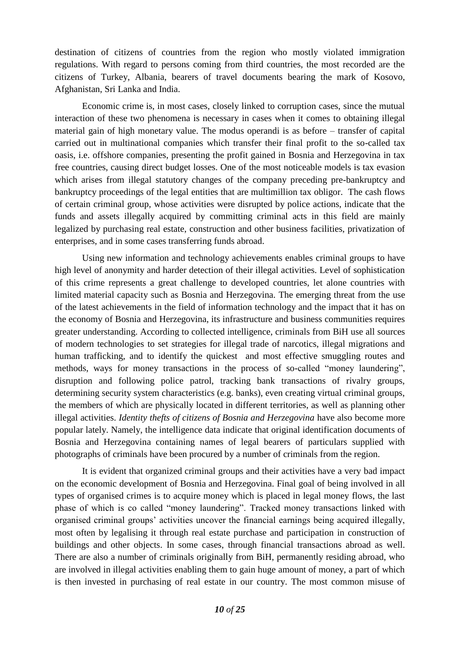destination of citizens of countries from the region who mostly violated immigration regulations. With regard to persons coming from third countries, the most recorded are the citizens of Turkey, Albania, bearers of travel documents bearing the mark of Kosovo, Afghanistan, Sri Lanka and India.

Economic crime is, in most cases, closely linked to corruption cases, since the mutual interaction of these two phenomena is necessary in cases when it comes to obtaining illegal material gain of high monetary value. The modus operandi is as before – transfer of capital carried out in multinational companies which transfer their final profit to the so-called tax oasis, i.e. offshore companies, presenting the profit gained in Bosnia and Herzegovina in tax free countries, causing direct budget losses. One of the most noticeable models is tax evasion which arises from illegal statutory changes of the company preceding pre-bankruptcy and bankruptcy proceedings of the legal entities that are multimillion tax obligor. The cash flows of certain criminal group, whose activities were disrupted by police actions, indicate that the funds and assets illegally acquired by committing criminal acts in this field are mainly legalized by purchasing real estate, construction and other business facilities, privatization of enterprises, and in some cases transferring funds abroad.

Using new information and technology achievements enables criminal groups to have high level of anonymity and harder detection of their illegal activities. Level of sophistication of this crime represents a great challenge to developed countries, let alone countries with limited material capacity such as Bosnia and Herzegovina. The emerging threat from the use of the latest achievements in the field of information technology and the impact that it has on the economy of Bosnia and Herzegovina, its infrastructure and business communities requires greater understanding. According to collected intelligence, criminals from BiH use all sources of modern technologies to set strategies for illegal trade of narcotics, illegal migrations and human trafficking, and to identify the quickest and most effective smuggling routes and methods, ways for money transactions in the process of so-called "money laundering", disruption and following police patrol, tracking bank transactions of rivalry groups, determining security system characteristics (e.g. banks), even creating virtual criminal groups, the members of which are physically located in different territories, as well as planning other illegal activities. *Identity thefts of citizens of Bosnia and Herzegovina* have also become more popular lately. Namely, the intelligence data indicate that original identification documents of Bosnia and Herzegovina containing names of legal bearers of particulars supplied with photographs of criminals have been procured by a number of criminals from the region.

It is evident that organized criminal groups and their activities have a very bad impact on the economic development of Bosnia and Herzegovina. Final goal of being involved in all types of organised crimes is to acquire money which is placed in legal money flows, the last phase of which is co called "money laundering". Tracked money transactions linked with organised criminal groups' activities uncover the financial earnings being acquired illegally, most often by legalising it through real estate purchase and participation in construction of buildings and other objects. In some cases, through financial transactions abroad as well. There are also a number of criminals originally from BiH, permanently residing abroad, who are involved in illegal activities enabling them to gain huge amount of money, a part of which is then invested in purchasing of real estate in our country. The most common misuse of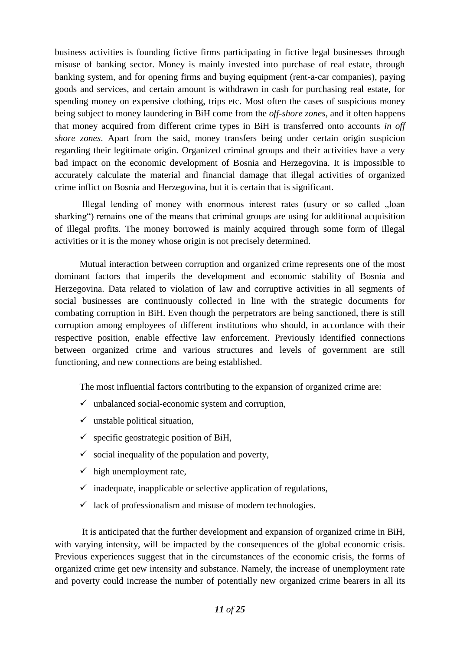business activities is founding fictive firms participating in fictive legal businesses through misuse of banking sector. Money is mainly invested into purchase of real estate, through banking system, and for opening firms and buying equipment (rent-a-car companies), paying goods and services, and certain amount is withdrawn in cash for purchasing real estate, for spending money on expensive clothing, trips etc. Most often the cases of suspicious money being subject to money laundering in BiH come from the *off-shore zones*, and it often happens that money acquired from different crime types in BiH is transferred onto accounts *in off shore zones*. Apart from the said, money transfers being under certain origin suspicion regarding their legitimate origin. Organized criminal groups and their activities have a very bad impact on the economic development of Bosnia and Herzegovina. It is impossible to accurately calculate the material and financial damage that illegal activities of organized crime inflict on Bosnia and Herzegovina, but it is certain that is significant.

Illegal lending of money with enormous interest rates (usury or so called "loan sharking") remains one of the means that criminal groups are using for additional acquisition of illegal profits. The money borrowed is mainly acquired through some form of illegal activities or it is the money whose origin is not precisely determined.

Mutual interaction between corruption and organized crime represents one of the most dominant factors that imperils the development and economic stability of Bosnia and Herzegovina. Data related to violation of law and corruptive activities in all segments of social businesses are continuously collected in line with the strategic documents for combating corruption in BiH. Even though the perpetrators are being sanctioned, there is still corruption among employees of different institutions who should, in accordance with their respective position, enable effective law enforcement. Previously identified connections between organized crime and various structures and levels of government are still functioning, and new connections are being established.

The most influential factors contributing to the expansion of organized crime are:

- $\checkmark$  unbalanced social-economic system and corruption,
- $\checkmark$  unstable political situation,
- $\checkmark$  specific geostrategic position of BiH,
- $\checkmark$  social inequality of the population and poverty,
- $\checkmark$  high unemployment rate,
- $\checkmark$  inadequate, inapplicable or selective application of regulations,
- $\checkmark$  lack of professionalism and misuse of modern technologies.

It is anticipated that the further development and expansion of organized crime in BiH, with varying intensity, will be impacted by the consequences of the global economic crisis. Previous experiences suggest that in the circumstances of the economic crisis, the forms of organized crime get new intensity and substance. Namely, the increase of unemployment rate and poverty could increase the number of potentially new organized crime bearers in all its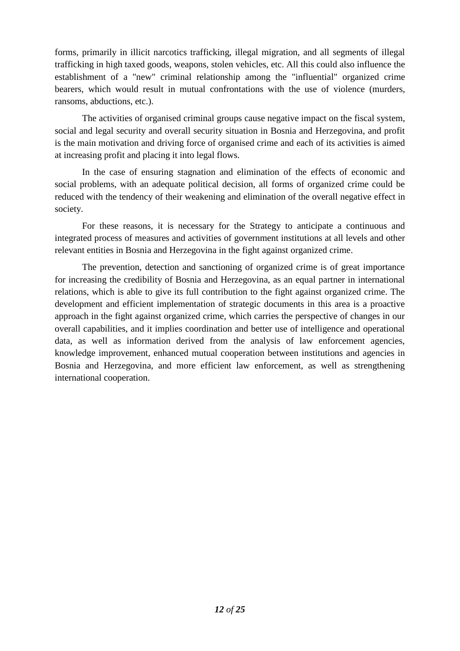forms, primarily in illicit narcotics trafficking, illegal migration, and all segments of illegal trafficking in high taxed goods, weapons, stolen vehicles, etc. All this could also influence the establishment of a "new" criminal relationship among the "influential" organized crime bearers, which would result in mutual confrontations with the use of violence (murders, ransoms, abductions, etc.).

The activities of organised criminal groups cause negative impact on the fiscal system, social and legal security and overall security situation in Bosnia and Herzegovina, and profit is the main motivation and driving force of organised crime and each of its activities is aimed at increasing profit and placing it into legal flows.

In the case of ensuring stagnation and elimination of the effects of economic and social problems, with an adequate political decision, all forms of organized crime could be reduced with the tendency of their weakening and elimination of the overall negative effect in society.

For these reasons, it is necessary for the Strategy to anticipate a continuous and integrated process of measures and activities of government institutions at all levels and other relevant entities in Bosnia and Herzegovina in the fight against organized crime.

The prevention, detection and sanctioning of organized crime is of great importance for increasing the credibility of Bosnia and Herzegovina, as an equal partner in international relations, which is able to give its full contribution to the fight against organized crime. The development and efficient implementation of strategic documents in this area is a proactive approach in the fight against organized crime, which carries the perspective of changes in our overall capabilities, and it implies coordination and better use of intelligence and operational data, as well as information derived from the analysis of law enforcement agencies, knowledge improvement, enhanced mutual cooperation between institutions and agencies in Bosnia and Herzegovina, and more efficient law enforcement, as well as strengthening international cooperation.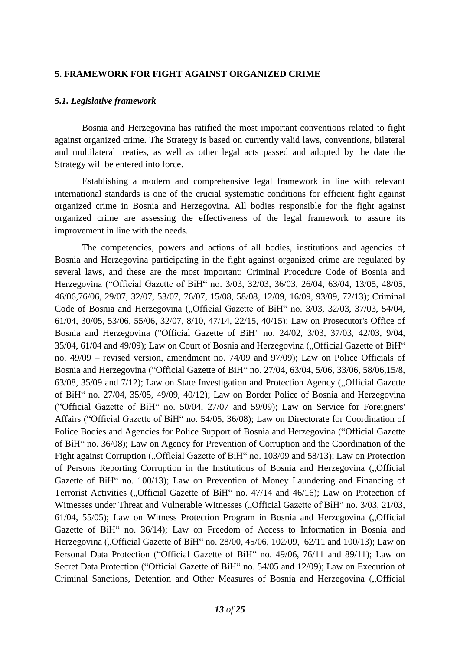#### <span id="page-12-0"></span>**5. FRAMEWORK FOR FIGHT AGAINST ORGANIZED CRIME**

#### <span id="page-12-1"></span>*5.1. Legislative framework*

Bosnia and Herzegovina has ratified the most important conventions related to fight against organized crime. The Strategy is based on currently valid laws, conventions, bilateral and multilateral treaties, as well as other legal acts passed and adopted by the date the Strategy will be entered into force.

Establishing a modern and comprehensive legal framework in line with relevant international standards is one of the crucial systematic conditions for efficient fight against organized crime in Bosnia and Herzegovina. All bodies responsible for the fight against organized crime are assessing the effectiveness of the legal framework to assure its improvement in line with the needs.

The competencies, powers and actions of all bodies, institutions and agencies of Bosnia and Herzegovina participating in the fight against organized crime are regulated by several laws, and these are the most important: Criminal Procedure Code of Bosnia and Herzegovina ("Official Gazette of BiH" no. 3/03, 32/03, 36/03, 26/04, 63/04, 13/05, 48/05, 46/06,76/06, 29/07, 32/07, 53/07, 76/07, 15/08, 58/08, 12/09, 16/09, 93/09, 72/13); Criminal Code of Bosnia and Herzegovina ("Official Gazette of BiH" no. 3/03, 32/03, 37/03, 54/04, 61/04, 30/05, 53/06, 55/06, 32/07, 8/10, 47/14, 22/15, 40/15); Law on Prosecutor's Office of Bosnia and Herzegovina ("Official Gazette of BiH" no. 24/02, 3/03, 37/03, 42/03, 9/04, 35/04, 61/04 and 49/09); Law on Court of Bosnia and Herzegovina ("Official Gazette of BiH" no. 49/09 – revised version, amendment no. 74/09 and 97/09); Law on Police Officials of Bosnia and Herzegovina ("Official Gazette of BiH" no. 27/04, 63/04, 5/06, 33/06, 58/06,15/8, 63/08, 35/09 and 7/12); Law on State Investigation and Protection Agency ("Official Gazette of BiH" no. 27/04, 35/05, 49/09, 40/12); Law on Border Police of Bosnia and Herzegovina ("Official Gazette of BiH" no. 50/04, 27/07 and 59/09); Law on Service for Foreigners' Affairs ("Official Gazette of BiH" no. 54/05, 36/08); Law on Directorate for Coordination of Police Bodies and Agencies for Police Support of Bosnia and Herzegovina ("Official Gazette of BiH" no. 36/08); Law on Agency for Prevention of Corruption and the Coordination of the Fight against Corruption ("Official Gazette of BiH" no. 103/09 and 58/13); Law on Protection of Persons Reporting Corruption in the Institutions of Bosnia and Herzegovina ("Official Gazette of BiH" no. 100/13); Law on Prevention of Money Laundering and Financing of Terrorist Activities ("Official Gazette of BiH" no. 47/14 and 46/16); Law on Protection of Witnesses under Threat and Vulnerable Witnesses ("Official Gazette of BiH" no. 3/03, 21/03, 61/04, 55/05); Law on Witness Protection Program in Bosnia and Herzegovina ("Official Gazette of BiH" no. 36/14); Law on Freedom of Access to Information in Bosnia and Herzegovina ("Official Gazette of BiH" no. 28/00, 45/06, 102/09, 62/11 and 100/13); Law on Personal Data Protection ("Official Gazette of BiH" no. 49/06, 76/11 and 89/11); Law on Secret Data Protection ("Official Gazette of BiH" no. 54/05 and 12/09); Law on Execution of Criminal Sanctions, Detention and Other Measures of Bosnia and Herzegovina ("Official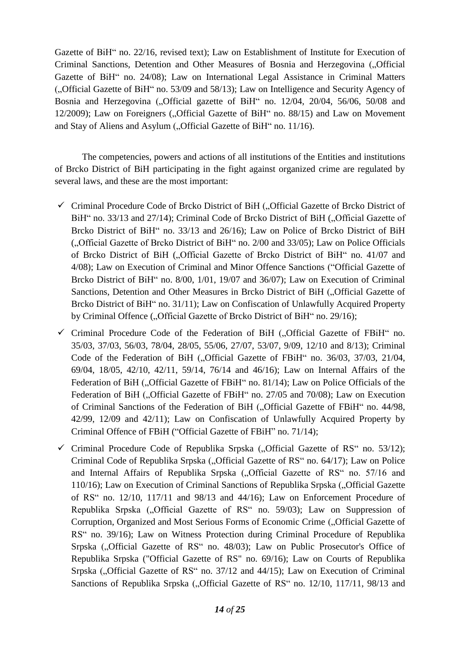Gazette of BiH" no. 22/16, revised text); Law on Establishment of Institute for Execution of Criminal Sanctions, Detention and Other Measures of Bosnia and Herzegovina ("Official Gazette of BiH" no. 24/08); Law on International Legal Assistance in Criminal Matters ("Official Gazette of BiH" no. 53/09 and 58/13); Law on Intelligence and Security Agency of Bosnia and Herzegovina ("Official gazette of BiH" no. 12/04, 20/04, 56/06, 50/08 and  $12/2009$ ); Law on Foreigners ("Official Gazette of BiH" no. 88/15) and Law on Movement and Stay of Aliens and Asylum ("Official Gazette of BiH" no. 11/16).

The competencies, powers and actions of all institutions of the Entities and institutions of Brcko District of BiH participating in the fight against organized crime are regulated by several laws, and these are the most important:

- $\checkmark$  Criminal Procedure Code of Brcko District of BiH ("Official Gazette of Brcko District of BiH" no. 33/13 and 27/14); Criminal Code of Brcko District of BiH ("Official Gazette of Brcko District of BiH" no. 33/13 and 26/16); Law on Police of Brcko District of BiH ("Official Gazette of Brcko District of BiH" no. 2/00 and 33/05); Law on Police Officials of Brcko District of BiH ("Official Gazette of Brcko District of BiH" no. 41/07 and 4/08); Law on Execution of Criminal and Minor Offence Sanctions ("Official Gazette of Brcko District of BiH" no. 8/00, 1/01, 19/07 and 36/07); Law on Execution of Criminal Sanctions, Detention and Other Measures in Brcko District of BiH ("Official Gazette of Brcko District of BiH" no. 31/11); Law on Confiscation of Unlawfully Acquired Property by Criminal Offence ("Official Gazette of Brcko District of BiH" no. 29/16);
- $\checkmark$  Criminal Procedure Code of the Federation of BiH ("Official Gazette of FBiH" no. 35/03, 37/03, 56/03, 78/04, 28/05, 55/06, 27/07, 53/07, 9/09, 12/10 and 8/13); Criminal Code of the Federation of BiH ("Official Gazette of FBiH" no. 36/03, 37/03, 21/04, 69/04, 18/05, 42/10, 42/11, 59/14, 76/14 and 46/16); Law on Internal Affairs of the Federation of BiH ("Official Gazette of FBiH" no. 81/14); Law on Police Officials of the Federation of BiH ("Official Gazette of FBiH" no. 27/05 and 70/08); Law on Execution of Criminal Sanctions of the Federation of BiH ("Official Gazette of FBiH" no. 44/98, 42/99, 12/09 and 42/11); Law on Confiscation of Unlawfully Acquired Property by Criminal Offence of FBiH ("Official Gazette of FBiH" no. 71/14);
- $\checkmark$  Criminal Procedure Code of Republika Srpska ("Official Gazette of RS" no. 53/12); Criminal Code of Republika Srpska ("Official Gazette of RS" no. 64/17); Law on Police and Internal Affairs of Republika Srpska ("Official Gazette of RS" no. 57/16 and 110/16); Law on Execution of Criminal Sanctions of Republika Srpska ("Official Gazette of RS" no. 12/10, 117/11 and 98/13 and 44/16); Law on Enforcement Procedure of Republika Srpska ("Official Gazette of RS" no. 59/03); Law on Suppression of Corruption, Organized and Most Serious Forms of Economic Crime ("Official Gazette of RS" no. 39/16); Law on Witness Protection during Criminal Procedure of Republika Srpska ("Official Gazette of RS" no. 48/03); Law on Public Prosecutor's Office of Republika Srpska ("Official Gazette of RS" no. 69/16); Law on Courts of Republika Srpska (...Official Gazette of RS" no.  $37/12$  and  $44/15$ ); Law on Execution of Criminal Sanctions of Republika Srpska ("Official Gazette of RS" no. 12/10, 117/11, 98/13 and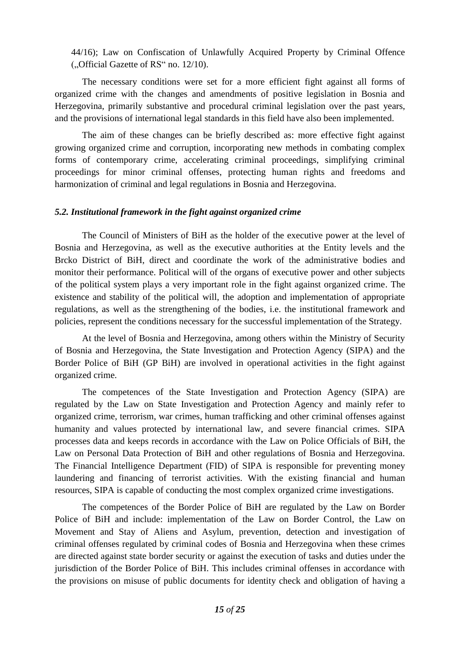44/16); Law on Confiscation of Unlawfully Acquired Property by Criminal Offence ("Official Gazette of RS" no. 12/10).

The necessary conditions were set for a more efficient fight against all forms of organized crime with the changes and amendments of positive legislation in Bosnia and Herzegovina, primarily substantive and procedural criminal legislation over the past years, and the provisions of international legal standards in this field have also been implemented.

The aim of these changes can be briefly described as: more effective fight against growing organized crime and corruption, incorporating new methods in combating complex forms of contemporary crime, accelerating criminal proceedings, simplifying criminal proceedings for minor criminal offenses, protecting human rights and freedoms and harmonization of criminal and legal regulations in Bosnia and Herzegovina.

#### <span id="page-14-0"></span>*5.2. Institutional framework in the fight against organized crime*

The Council of Ministers of BiH as the holder of the executive power at the level of Bosnia and Herzegovina, as well as the executive authorities at the Entity levels and the Brcko District of BiH, direct and coordinate the work of the administrative bodies and monitor their performance. Political will of the organs of executive power and other subjects of the political system plays a very important role in the fight against organized crime. The existence and stability of the political will, the adoption and implementation of appropriate regulations, as well as the strengthening of the bodies, i.e. the institutional framework and policies, represent the conditions necessary for the successful implementation of the Strategy.

At the level of Bosnia and Herzegovina, among others within the Ministry of Security of Bosnia and Herzegovina, the State Investigation and Protection Agency (SIPA) and the Border Police of BiH (GP BiH) are involved in operational activities in the fight against organized crime.

The competences of the State Investigation and Protection Agency (SIPA) are regulated by the Law on State Investigation and Protection Agency and mainly refer to organized crime, terrorism, war crimes, human trafficking and other criminal offenses against humanity and values protected by international law, and severe financial crimes. SIPA processes data and keeps records in accordance with the Law on Police Officials of BiH, the Law on Personal Data Protection of BiH and other regulations of Bosnia and Herzegovina. The Financial Intelligence Department (FID) of SIPA is responsible for preventing money laundering and financing of terrorist activities. With the existing financial and human resources, SIPA is capable of conducting the most complex organized crime investigations.

The competences of the Border Police of BiH are regulated by the Law on Border Police of BiH and include: implementation of the Law on Border Control, the Law on Movement and Stay of Aliens and Asylum, prevention, detection and investigation of criminal offenses regulated by criminal codes of Bosnia and Herzegovina when these crimes are directed against state border security or against the execution of tasks and duties under the jurisdiction of the Border Police of BiH. This includes criminal offenses in accordance with the provisions on misuse of public documents for identity check and obligation of having a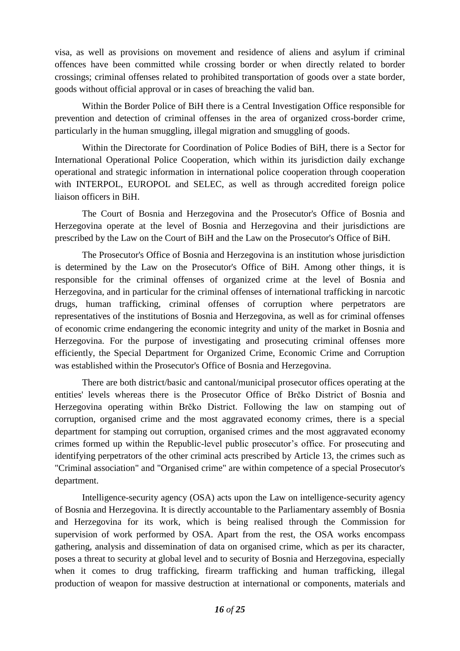visa, as well as provisions on movement and residence of aliens and asylum if criminal offences have been committed while crossing border or when directly related to border crossings; criminal offenses related to prohibited transportation of goods over a state border, goods without official approval or in cases of breaching the valid ban.

Within the Border Police of BiH there is a Central Investigation Office responsible for prevention and detection of criminal offenses in the area of organized cross-border crime, particularly in the human smuggling, illegal migration and smuggling of goods.

Within the Directorate for Coordination of Police Bodies of BiH, there is a Sector for International Operational Police Cooperation, which within its jurisdiction daily exchange operational and strategic information in international police cooperation through cooperation with INTERPOL, EUROPOL and SELEC, as well as through accredited foreign police liaison officers in BiH.

The Court of Bosnia and Herzegovina and the Prosecutor's Office of Bosnia and Herzegovina operate at the level of Bosnia and Herzegovina and their jurisdictions are prescribed by the Law on the Court of BiH and the Law on the Prosecutor's Office of BiH.

The Prosecutor's Office of Bosnia and Herzegovina is an institution whose jurisdiction is determined by the Law on the Prosecutor's Office of BiH. Among other things, it is responsible for the criminal offenses of organized crime at the level of Bosnia and Herzegovina, and in particular for the criminal offenses of international trafficking in narcotic drugs, human trafficking, criminal offenses of corruption where perpetrators are representatives of the institutions of Bosnia and Herzegovina, as well as for criminal offenses of economic crime endangering the economic integrity and unity of the market in Bosnia and Herzegovina. For the purpose of investigating and prosecuting criminal offenses more efficiently, the Special Department for Organized Crime, Economic Crime and Corruption was established within the Prosecutor's Office of Bosnia and Herzegovina.

There are both district/basic and cantonal/municipal prosecutor offices operating at the entities' levels whereas there is the Prosecutor Office of Brčko District of Bosnia and Herzegovina operating within Brčko District. Following the law on stamping out of corruption, organised crime and the most aggravated economy crimes, there is a special department for stamping out corruption, organised crimes and the most aggravated economy crimes formed up within the Republic-level public prosecutor's office. For prosecuting and identifying perpetrators of the other criminal acts prescribed by Article 13, the crimes such as "Criminal association" and "Organised crime" are within competence of a special Prosecutor's department.

Intelligence-security agency (OSA) acts upon the Law on intelligence-security agency of Bosnia and Herzegovina. It is directly accountable to the Parliamentary assembly of Bosnia and Herzegovina for its work, which is being realised through the Commission for supervision of work performed by OSA. Apart from the rest, the OSA works encompass gathering, analysis and dissemination of data on organised crime, which as per its character, poses a threat to security at global level and to security of Bosnia and Herzegovina, especially when it comes to drug trafficking, firearm trafficking and human trafficking, illegal production of weapon for massive destruction at international or components, materials and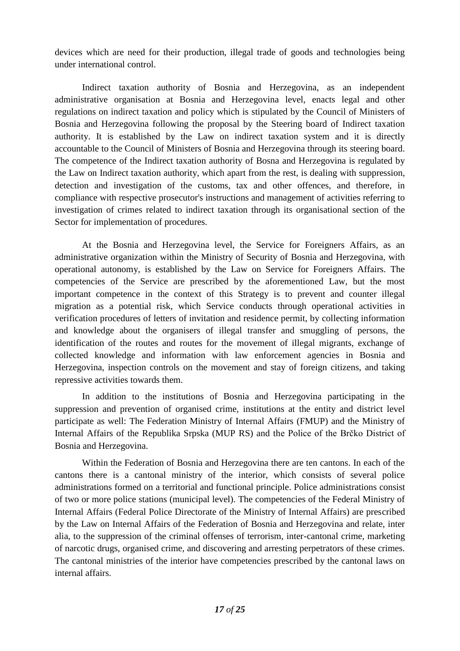devices which are need for their production, illegal trade of goods and technologies being under international control.

Indirect taxation authority of Bosnia and Herzegovina, as an independent administrative organisation at Bosnia and Herzegovina level, enacts legal and other regulations on indirect taxation and policy which is stipulated by the Council of Ministers of Bosnia and Herzegovina following the proposal by the Steering board of Indirect taxation authority. It is established by the Law on indirect taxation system and it is directly accountable to the Council of Ministers of Bosnia and Herzegovina through its steering board. The competence of the Indirect taxation authority of Bosna and Herzegovina is regulated by the Law on Indirect taxation authority, which apart from the rest, is dealing with suppression, detection and investigation of the customs, tax and other offences, and therefore, in compliance with respective prosecutor's instructions and management of activities referring to investigation of crimes related to indirect taxation through its organisational section of the Sector for implementation of procedures.

At the Bosnia and Herzegovina level, the Service for Foreigners Affairs, as an administrative organization within the Ministry of Security of Bosnia and Herzegovina, with operational autonomy, is established by the Law on Service for Foreigners Affairs. The competencies of the Service are prescribed by the aforementioned Law, but the most important competence in the context of this Strategy is to prevent and counter illegal migration as a potential risk, which Service conducts through operational activities in verification procedures of letters of invitation and residence permit, by collecting information and knowledge about the organisers of illegal transfer and smuggling of persons, the identification of the routes and routes for the movement of illegal migrants, exchange of collected knowledge and information with law enforcement agencies in Bosnia and Herzegovina, inspection controls on the movement and stay of foreign citizens, and taking repressive activities towards them.

In addition to the institutions of Bosnia and Herzegovina participating in the suppression and prevention of organised crime, institutions at the entity and district level participate as well: The Federation Ministry of Internal Affairs (FMUP) and the Ministry of Internal Affairs of the Republika Srpska (MUP RS) and the Police of the Brčko District of Bosnia and Herzegovina.

Within the Federation of Bosnia and Herzegovina there are ten cantons. In each of the cantons there is a cantonal ministry of the interior, which consists of several police administrations formed on a territorial and functional principle. Police administrations consist of two or more police stations (municipal level). The competencies of the Federal Ministry of Internal Affairs (Federal Police Directorate of the Ministry of Internal Affairs) are prescribed by the Law on Internal Affairs of the Federation of Bosnia and Herzegovina and relate, inter alia, to the suppression of the criminal offenses of terrorism, inter-cantonal crime, marketing of narcotic drugs, organised crime, and discovering and arresting perpetrators of these crimes. The cantonal ministries of the interior have competencies prescribed by the cantonal laws on internal affairs.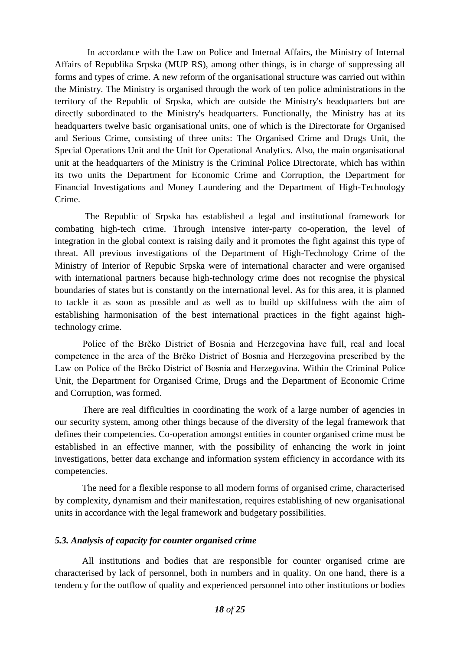In accordance with the Law on Police and Internal Affairs, the Ministry of Internal Affairs of Republika Srpska (MUP RS), among other things, is in charge of suppressing all forms and types of crime. A new reform of the organisational structure was carried out within the Ministry. The Ministry is organised through the work of ten police administrations in the territory of the Republic of Srpska, which are outside the Ministry's headquarters but are directly subordinated to the Ministry's headquarters. Functionally, the Ministry has at its headquarters twelve basic organisational units, one of which is the Directorate for Organised and Serious Crime, consisting of three units: The Organised Crime and Drugs Unit, the Special Operations Unit and the Unit for Operational Analytics. Also, the main organisational unit at the headquarters of the Ministry is the Criminal Police Directorate, which has within its two units the Department for Economic Crime and Corruption, the Department for Financial Investigations and Money Laundering and the Department of High-Technology Crime.

 The Republic of Srpska has established a legal and institutional framework for combating high-tech crime. Through intensive inter-party co-operation, the level of integration in the global context is raising daily and it promotes the fight against this type of threat. All previous investigations of the Department of High-Technology Crime of the Ministry of Interior of Repubic Srpska were of international character and were organised with international partners because high-technology crime does not recognise the physical boundaries of states but is constantly on the international level. As for this area, it is planned to tackle it as soon as possible and as well as to build up skilfulness with the aim of establishing harmonisation of the best international practices in the fight against hightechnology crime.

Police of the Brčko District of Bosnia and Herzegovina have full, real and local competence in the area of the Brčko District of Bosnia and Herzegovina prescribed by the Law on Police of the Brčko District of Bosnia and Herzegovina. Within the Criminal Police Unit, the Department for Organised Crime, Drugs and the Department of Economic Crime and Corruption, was formed.

 There are real difficulties in coordinating the work of a large number of agencies in our security system, among other things because of the diversity of the legal framework that defines their competencies. Co-operation amongst entities in counter organised crime must be established in an effective manner, with the possibility of enhancing the work in joint investigations, better data exchange and information system efficiency in accordance with its competencies.

The need for a flexible response to all modern forms of organised crime, characterised by complexity, dynamism and their manifestation, requires establishing of new organisational units in accordance with the legal framework and budgetary possibilities.

## <span id="page-17-0"></span>*5.3. Analysis of capacity for counter organised crime*

All institutions and bodies that are responsible for counter organised crime are characterised by lack of personnel, both in numbers and in quality. On one hand, there is a tendency for the outflow of quality and experienced personnel into other institutions or bodies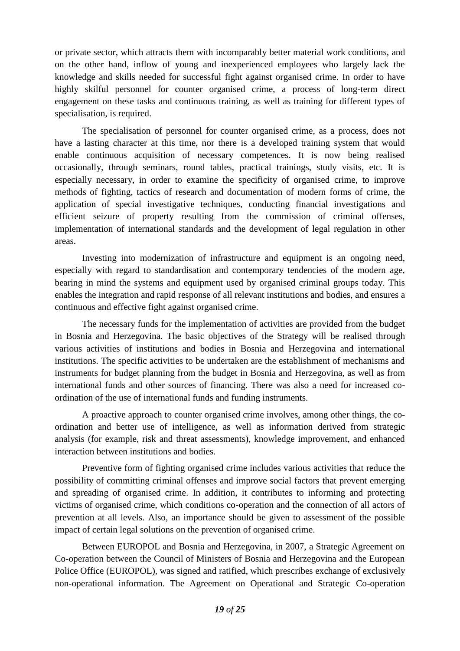or private sector, which attracts them with incomparably better material work conditions, and on the other hand, inflow of young and inexperienced employees who largely lack the knowledge and skills needed for successful fight against organised crime. In order to have highly skilful personnel for counter organised crime, a process of long-term direct engagement on these tasks and continuous training, as well as training for different types of specialisation, is required.

The specialisation of personnel for counter organised crime, as a process, does not have a lasting character at this time, nor there is a developed training system that would enable continuous acquisition of necessary competences. It is now being realised occasionally, through seminars, round tables, practical trainings, study visits, etc. It is especially necessary, in order to examine the specificity of organised crime, to improve methods of fighting, tactics of research and documentation of modern forms of crime, the application of special investigative techniques, conducting financial investigations and efficient seizure of property resulting from the commission of criminal offenses, implementation of international standards and the development of legal regulation in other areas.

Investing into modernization of infrastructure and equipment is an ongoing need, especially with regard to standardisation and contemporary tendencies of the modern age, bearing in mind the systems and equipment used by organised criminal groups today. This enables the integration and rapid response of all relevant institutions and bodies, and ensures a continuous and effective fight against organised crime.

The necessary funds for the implementation of activities are provided from the budget in Bosnia and Herzegovina. The basic objectives of the Strategy will be realised through various activities of institutions and bodies in Bosnia and Herzegovina and international institutions. The specific activities to be undertaken are the establishment of mechanisms and instruments for budget planning from the budget in Bosnia and Herzegovina, as well as from international funds and other sources of financing. There was also a need for increased coordination of the use of international funds and funding instruments.

A proactive approach to counter organised crime involves, among other things, the coordination and better use of intelligence, as well as information derived from strategic analysis (for example, risk and threat assessments), knowledge improvement, and enhanced interaction between institutions and bodies.

Preventive form of fighting organised crime includes various activities that reduce the possibility of committing criminal offenses and improve social factors that prevent emerging and spreading of organised crime. In addition, it contributes to informing and protecting victims of organised crime, which conditions co-operation and the connection of all actors of prevention at all levels. Also, an importance should be given to assessment of the possible impact of certain legal solutions on the prevention of organised crime.

Between EUROPOL and Bosnia and Herzegovina, in 2007, a Strategic Agreement on Co-operation between the Council of Ministers of Bosnia and Herzegovina and the European Police Office (EUROPOL), was signed and ratified, which prescribes exchange of exclusively non-operational information. The Agreement on Operational and Strategic Co-operation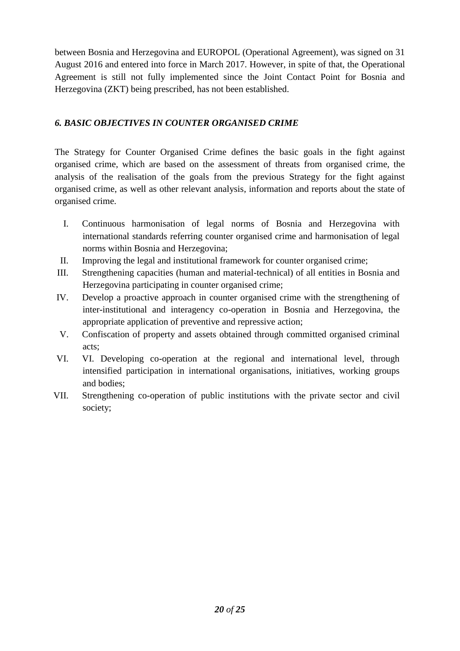between Bosnia and Herzegovina and EUROPOL (Operational Agreement), was signed on 31 August 2016 and entered into force in March 2017. However, in spite of that, the Operational Agreement is still not fully implemented since the Joint Contact Point for Bosnia and Herzegovina (ZKT) being prescribed, has not been established.

## <span id="page-19-0"></span>*6. BASIC OBJECTIVES IN COUNTER ORGANISED CRIME*

The Strategy for Counter Organised Crime defines the basic goals in the fight against organised crime, which are based on the assessment of threats from organised crime, the analysis of the realisation of the goals from the previous Strategy for the fight against organised crime, as well as other relevant analysis, information and reports about the state of organised crime.

- I. Continuous harmonisation of legal norms of Bosnia and Herzegovina with international standards referring counter organised crime and harmonisation of legal norms within Bosnia and Herzegovina;
- II. Improving the legal and institutional framework for counter organised crime;
- III. Strengthening capacities (human and material-technical) of all entities in Bosnia and Herzegovina participating in counter organised crime;
- IV. Develop a proactive approach in counter organised crime with the strengthening of inter-institutional and interagency co-operation in Bosnia and Herzegovina, the appropriate application of preventive and repressive action;
- V. Confiscation of property and assets obtained through committed organised criminal acts;
- VI. VI. Developing co-operation at the regional and international level, through intensified participation in international organisations, initiatives, working groups and bodies;
- VII. Strengthening co-operation of public institutions with the private sector and civil society;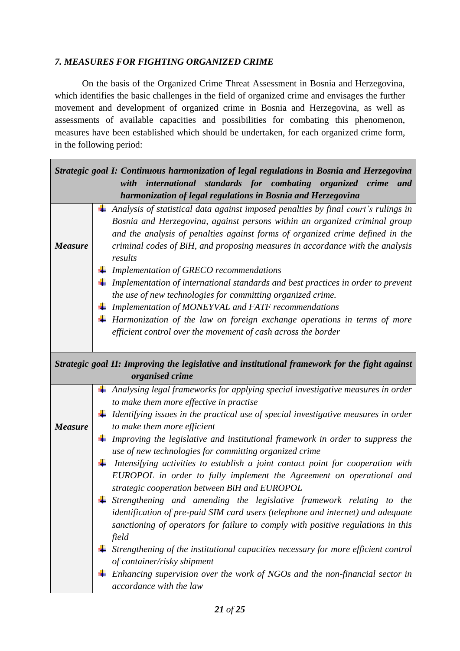## <span id="page-20-0"></span>*7. MEASURES FOR FIGHTING ORGANIZED CRIME*

On the basis of the Organized Crime Threat Assessment in Bosnia and Herzegovina, which identifies the basic challenges in the field of organized crime and envisages the further movement and development of organized crime in Bosnia and Herzegovina, as well as assessments of available capacities and possibilities for combating this phenomenon, measures have been established which should be undertaken, for each organized crime form, in the following period:

| Strategic goal I: Continuous harmonization of legal regulations in Bosnia and Herzegovina |  |                                                                                                                                                                     |  |
|-------------------------------------------------------------------------------------------|--|---------------------------------------------------------------------------------------------------------------------------------------------------------------------|--|
|                                                                                           |  | international standards for combating organized crime<br>with<br>and                                                                                                |  |
|                                                                                           |  | harmonization of legal regulations in Bosnia and Herzegovina                                                                                                        |  |
|                                                                                           |  | Analysis of statistical data against imposed penalties by final court's rulings in                                                                                  |  |
|                                                                                           |  | Bosnia and Herzegovina, against persons within an organized criminal group                                                                                          |  |
|                                                                                           |  | and the analysis of penalties against forms of organized crime defined in the                                                                                       |  |
| <b>Measure</b>                                                                            |  | criminal codes of BiH, and proposing measures in accordance with the analysis                                                                                       |  |
|                                                                                           |  | results                                                                                                                                                             |  |
|                                                                                           |  | Implementation of GRECO recommendations                                                                                                                             |  |
|                                                                                           |  | Implementation of international standards and best practices in order to prevent                                                                                    |  |
|                                                                                           |  | the use of new technologies for committing organized crime.                                                                                                         |  |
|                                                                                           |  | Implementation of MONEYVAL and FATF recommendations                                                                                                                 |  |
|                                                                                           |  | $\perp$ Harmonization of the law on foreign exchange operations in terms of more                                                                                    |  |
|                                                                                           |  | efficient control over the movement of cash across the border                                                                                                       |  |
|                                                                                           |  |                                                                                                                                                                     |  |
|                                                                                           |  | Strategic goal II: Improving the legislative and institutional framework for the fight against                                                                      |  |
|                                                                                           |  | organised crime                                                                                                                                                     |  |
|                                                                                           |  | Analysing legal frameworks for applying special investigative measures in order                                                                                     |  |
|                                                                                           |  | to make them more effective in practise                                                                                                                             |  |
|                                                                                           |  | Identifying issues in the practical use of special investigative measures in order                                                                                  |  |
| <b>Measure</b>                                                                            |  | to make them more efficient                                                                                                                                         |  |
|                                                                                           |  | $\perp$ Improving the legislative and institutional framework in order to suppress the                                                                              |  |
|                                                                                           |  | use of new technologies for committing organized crime                                                                                                              |  |
|                                                                                           |  | Intensifying activities to establish a joint contact point for cooperation with                                                                                     |  |
|                                                                                           |  | EUROPOL in order to fully implement the Agreement on operational and                                                                                                |  |
|                                                                                           |  | strategic cooperation between BiH and EUROPOL                                                                                                                       |  |
|                                                                                           |  | Strengthening and amending the legislative framework relating to the                                                                                                |  |
|                                                                                           |  | identification of pre-paid SIM card users (telephone and internet) and adequate<br>sanctioning of operators for failure to comply with positive regulations in this |  |
|                                                                                           |  | field                                                                                                                                                               |  |
|                                                                                           |  | Strengthening of the institutional capacities necessary for more efficient control                                                                                  |  |
|                                                                                           |  | of container/risky shipment                                                                                                                                         |  |
|                                                                                           |  | Enhancing supervision over the work of NGOs and the non-financial sector in                                                                                         |  |
|                                                                                           |  | accordance with the law                                                                                                                                             |  |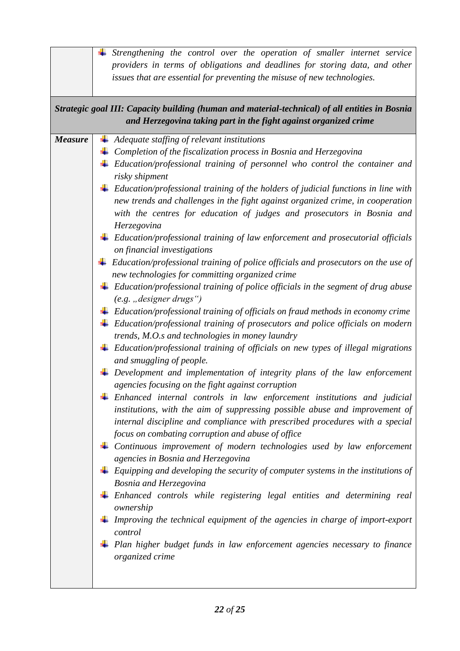| issues that are essential for preventing the misuse of new technologies.                                                                                                                                                                                                                                                                                                                                                                                                                                                                                                                                                                                                                                                                                                                                                                                                                                                                                                                                                                                                                                                                                                                                                                                                                                                                                                                                                                                                                                                                                                                                                                                                                                                                                                                                                                                                                                                                                                                                                                                                                                                                                                       |  |  |  |  |  |
|--------------------------------------------------------------------------------------------------------------------------------------------------------------------------------------------------------------------------------------------------------------------------------------------------------------------------------------------------------------------------------------------------------------------------------------------------------------------------------------------------------------------------------------------------------------------------------------------------------------------------------------------------------------------------------------------------------------------------------------------------------------------------------------------------------------------------------------------------------------------------------------------------------------------------------------------------------------------------------------------------------------------------------------------------------------------------------------------------------------------------------------------------------------------------------------------------------------------------------------------------------------------------------------------------------------------------------------------------------------------------------------------------------------------------------------------------------------------------------------------------------------------------------------------------------------------------------------------------------------------------------------------------------------------------------------------------------------------------------------------------------------------------------------------------------------------------------------------------------------------------------------------------------------------------------------------------------------------------------------------------------------------------------------------------------------------------------------------------------------------------------------------------------------------------------|--|--|--|--|--|
| Strategic goal III: Capacity building (human and material-technical) of all entities in Bosnia<br>and Herzegovina taking part in the fight against organized crime                                                                                                                                                                                                                                                                                                                                                                                                                                                                                                                                                                                                                                                                                                                                                                                                                                                                                                                                                                                                                                                                                                                                                                                                                                                                                                                                                                                                                                                                                                                                                                                                                                                                                                                                                                                                                                                                                                                                                                                                             |  |  |  |  |  |
| Adequate staffing of relevant institutions<br><b>Measure</b><br>Completion of the fiscalization process in Bosnia and Herzegovina<br>Education/professional training of personnel who control the container and<br>risky shipment<br>Education/professional training of the holders of judicial functions in line with<br>new trends and challenges in the fight against organized crime, in cooperation<br>with the centres for education of judges and prosecutors in Bosnia and<br>Herzegovina<br>Education/professional training of law enforcement and prosecutorial officials<br>on financial investigations<br>Education/professional training of police officials and prosecutors on the use of<br>new technologies for committing organized crime<br>Education/professional training of police officials in the segment of drug abuse<br>$(e.g.$ , designer drugs")<br>Education/professional training of officials on fraud methods in economy crime<br>Education/professional training of prosecutors and police officials on modern<br>trends, M.O.s and technologies in money laundry<br>Education/professional training of officials on new types of illegal migrations<br>and smuggling of people.<br>Development and implementation of integrity plans of the law enforcement<br>agencies focusing on the fight against corruption<br>Enhanced internal controls in law enforcement institutions and judicial<br>institutions, with the aim of suppressing possible abuse and improvement of<br>internal discipline and compliance with prescribed procedures with a special<br>focus on combating corruption and abuse of office<br>Continuous improvement of modern technologies used by law enforcement<br>agencies in Bosnia and Herzegovina<br>Equipping and developing the security of computer systems in the institutions of<br><b>Bosnia and Herzegovina</b><br>$\pm$ Enhanced controls while registering legal entities and determining real<br>ownership<br>Improving the technical equipment of the agencies in charge of import-export<br>control<br>Plan higher budget funds in law enforcement agencies necessary to finance<br>organized crime |  |  |  |  |  |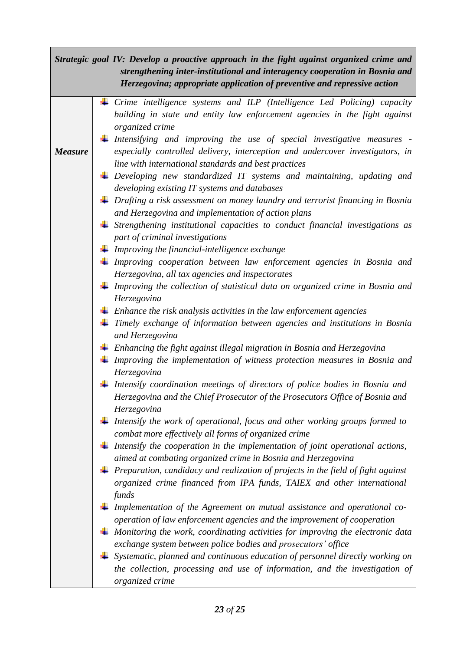| Strategic goal IV: Develop a proactive approach in the fight against organized crime and<br>strengthening inter-institutional and interagency cooperation in Bosnia and<br>Herzegovina; appropriate application of preventive and repressive action |  |                                                                                                                                                |  |  |
|-----------------------------------------------------------------------------------------------------------------------------------------------------------------------------------------------------------------------------------------------------|--|------------------------------------------------------------------------------------------------------------------------------------------------|--|--|
|                                                                                                                                                                                                                                                     |  | $\perp$ Crime intelligence systems and ILP (Intelligence Led Policing) capacity                                                                |  |  |
|                                                                                                                                                                                                                                                     |  | building in state and entity law enforcement agencies in the fight against                                                                     |  |  |
|                                                                                                                                                                                                                                                     |  | organized crime                                                                                                                                |  |  |
|                                                                                                                                                                                                                                                     |  | $\perp$ Intensifying and improving the use of special investigative measures -                                                                 |  |  |
| <b>Measure</b>                                                                                                                                                                                                                                      |  | especially controlled delivery, interception and undercover investigators, in                                                                  |  |  |
|                                                                                                                                                                                                                                                     |  | line with international standards and best practices                                                                                           |  |  |
|                                                                                                                                                                                                                                                     |  | $\perp$ Developing new standardized IT systems and maintaining, updating and                                                                   |  |  |
|                                                                                                                                                                                                                                                     |  | developing existing IT systems and databases                                                                                                   |  |  |
|                                                                                                                                                                                                                                                     |  | $\perp$ Drafting a risk assessment on money laundry and terrorist financing in Bosnia                                                          |  |  |
|                                                                                                                                                                                                                                                     |  | and Herzegovina and implementation of action plans<br>$\ddagger$ Strengthening institutional capacities to conduct financial investigations as |  |  |
|                                                                                                                                                                                                                                                     |  | part of criminal investigations                                                                                                                |  |  |
|                                                                                                                                                                                                                                                     |  | $\perp$ Improving the financial-intelligence exchange                                                                                          |  |  |
|                                                                                                                                                                                                                                                     |  | $\perp$ Improving cooperation between law enforcement agencies in Bosnia and                                                                   |  |  |
|                                                                                                                                                                                                                                                     |  | Herzegovina, all tax agencies and inspectorates                                                                                                |  |  |
|                                                                                                                                                                                                                                                     |  | $\perp$ Improving the collection of statistical data on organized crime in Bosnia and                                                          |  |  |
|                                                                                                                                                                                                                                                     |  | Herzegovina                                                                                                                                    |  |  |
|                                                                                                                                                                                                                                                     |  | $\ddagger$ Enhance the risk analysis activities in the law enforcement agencies                                                                |  |  |
|                                                                                                                                                                                                                                                     |  | $\perp$ Timely exchange of information between agencies and institutions in Bosnia<br>and Herzegovina                                          |  |  |
|                                                                                                                                                                                                                                                     |  | $\pm$ Enhancing the fight against illegal migration in Bosnia and Herzegovina                                                                  |  |  |
|                                                                                                                                                                                                                                                     |  | $\perp$ Improving the implementation of witness protection measures in Bosnia and                                                              |  |  |
|                                                                                                                                                                                                                                                     |  | Herzegovina                                                                                                                                    |  |  |
|                                                                                                                                                                                                                                                     |  | Intensify coordination meetings of directors of police bodies in Bosnia and                                                                    |  |  |
|                                                                                                                                                                                                                                                     |  | Herzegovina and the Chief Prosecutor of the Prosecutors Office of Bosnia and                                                                   |  |  |
|                                                                                                                                                                                                                                                     |  | Herzegovina                                                                                                                                    |  |  |
|                                                                                                                                                                                                                                                     |  | Intensify the work of operational, focus and other working groups formed to<br>combat more effectively all forms of organized crime            |  |  |
|                                                                                                                                                                                                                                                     |  | Intensify the cooperation in the implementation of joint operational actions,<br>aimed at combating organized crime in Bosnia and Herzegovina  |  |  |
|                                                                                                                                                                                                                                                     |  | $\perp$ Preparation, candidacy and realization of projects in the field of fight against                                                       |  |  |
|                                                                                                                                                                                                                                                     |  | organized crime financed from IPA funds, TAIEX and other international                                                                         |  |  |
|                                                                                                                                                                                                                                                     |  | funds                                                                                                                                          |  |  |
|                                                                                                                                                                                                                                                     |  | Implementation of the Agreement on mutual assistance and operational co-                                                                       |  |  |
|                                                                                                                                                                                                                                                     |  | operation of law enforcement agencies and the improvement of cooperation                                                                       |  |  |
|                                                                                                                                                                                                                                                     |  | $\ddagger$ Monitoring the work, coordinating activities for improving the electronic data                                                      |  |  |
|                                                                                                                                                                                                                                                     |  | exchange system between police bodies and prosecutors' office                                                                                  |  |  |
|                                                                                                                                                                                                                                                     |  | Systematic, planned and continuous education of personnel directly working on                                                                  |  |  |
|                                                                                                                                                                                                                                                     |  | the collection, processing and use of information, and the investigation of                                                                    |  |  |
|                                                                                                                                                                                                                                                     |  | organized crime                                                                                                                                |  |  |

ſ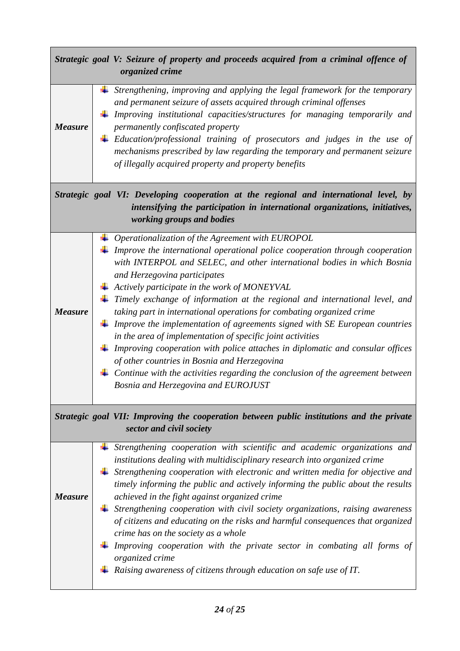|                                                                                                                       |  | Strategic goal V: Seizure of property and proceeds acquired from a criminal offence of<br>organized crime                                                                                                                                                                                                                                                                                                                                                                                    |
|-----------------------------------------------------------------------------------------------------------------------|--|----------------------------------------------------------------------------------------------------------------------------------------------------------------------------------------------------------------------------------------------------------------------------------------------------------------------------------------------------------------------------------------------------------------------------------------------------------------------------------------------|
| <b>Measure</b>                                                                                                        |  | Strengthening, improving and applying the legal framework for the temporary<br>and permanent seizure of assets acquired through criminal offenses<br>Improving institutional capacities/structures for managing temporarily and<br>permanently confiscated property<br>$\perp$ Education/professional training of prosecutors and judges in the use of<br>mechanisms prescribed by law regarding the temporary and permanent seizure<br>of illegally acquired property and property benefits |
|                                                                                                                       |  | Strategic goal VI: Developing cooperation at the regional and international level, by<br>intensifying the participation in international organizations, initiatives,<br>working groups and bodies                                                                                                                                                                                                                                                                                            |
|                                                                                                                       |  | $\perp$ Operationalization of the Agreement with EUROPOL                                                                                                                                                                                                                                                                                                                                                                                                                                     |
|                                                                                                                       |  | $\ddagger$ Improve the international operational police cooperation through cooperation<br>with INTERPOL and SELEC, and other international bodies in which Bosnia<br>and Herzegovina participates                                                                                                                                                                                                                                                                                           |
|                                                                                                                       |  | $\triangleq$ Actively participate in the work of MONEYVAL                                                                                                                                                                                                                                                                                                                                                                                                                                    |
| <b>Measure</b>                                                                                                        |  | $\perp$ Timely exchange of information at the regional and international level, and<br>taking part in international operations for combating organized crime<br>$\ddagger$ Improve the implementation of agreements signed with SE European countries                                                                                                                                                                                                                                        |
|                                                                                                                       |  | in the area of implementation of specific joint activities                                                                                                                                                                                                                                                                                                                                                                                                                                   |
|                                                                                                                       |  | $\perp$ Improving cooperation with police attaches in diplomatic and consular offices<br>of other countries in Bosnia and Herzegovina                                                                                                                                                                                                                                                                                                                                                        |
|                                                                                                                       |  | $\perp$ Continue with the activities regarding the conclusion of the agreement between<br>Bosnia and Herzegovina and EUROJUST                                                                                                                                                                                                                                                                                                                                                                |
| Strategic goal VII: Improving the cooperation between public institutions and the private<br>sector and civil society |  |                                                                                                                                                                                                                                                                                                                                                                                                                                                                                              |
|                                                                                                                       |  | Strengthening cooperation with scientific and academic organizations and<br>institutions dealing with multidisciplinary research into organized crime                                                                                                                                                                                                                                                                                                                                        |
|                                                                                                                       |  | Strengthening cooperation with electronic and written media for objective and<br>timely informing the public and actively informing the public about the results                                                                                                                                                                                                                                                                                                                             |
| <b>Measure</b>                                                                                                        |  | achieved in the fight against organized crime                                                                                                                                                                                                                                                                                                                                                                                                                                                |
|                                                                                                                       |  | Strengthening cooperation with civil society organizations, raising awareness                                                                                                                                                                                                                                                                                                                                                                                                                |
|                                                                                                                       |  | of citizens and educating on the risks and harmful consequences that organized<br>crime has on the society as a whole                                                                                                                                                                                                                                                                                                                                                                        |
|                                                                                                                       |  | Improving cooperation with the private sector in combating all forms of                                                                                                                                                                                                                                                                                                                                                                                                                      |
|                                                                                                                       |  | organized crime                                                                                                                                                                                                                                                                                                                                                                                                                                                                              |
|                                                                                                                       |  | Raising awareness of citizens through education on safe use of IT.                                                                                                                                                                                                                                                                                                                                                                                                                           |